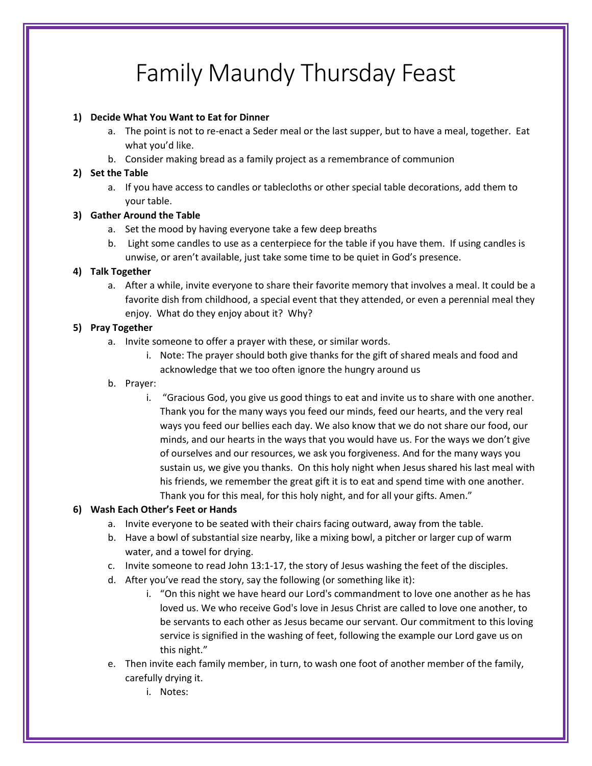# Family Maundy Thursday Feast

#### **1) Decide What You Want to Eat for Dinner**

- a. The point is not to re-enact a Seder meal or the last supper, but to have a meal, together. Eat what you'd like.
- b. Consider making bread as a family project as a remembrance of communion

#### **2) Set the Table**

a. If you have access to candles or tablecloths or other special table decorations, add them to your table.

#### **3) Gather Around the Table**

- a. Set the mood by having everyone take a few deep breaths
- b. Light some candles to use as a centerpiece for the table if you have them. If using candles is unwise, or aren't available, just take some time to be quiet in God's presence.

#### **4) Talk Together**

a. After a while, invite everyone to share their favorite memory that involves a meal. It could be a favorite dish from childhood, a special event that they attended, or even a perennial meal they enjoy. What do they enjoy about it? Why?

#### **5) Pray Together**

- a. Invite someone to offer a prayer with these, or similar words.
	- i. Note: The prayer should both give thanks for the gift of shared meals and food and acknowledge that we too often ignore the hungry around us

#### b. Prayer:

i. "Gracious God, you give us good things to eat and invite us to share with one another. Thank you for the many ways you feed our minds, feed our hearts, and the very real ways you feed our bellies each day. We also know that we do not share our food, our minds, and our hearts in the ways that you would have us. For the ways we don't give of ourselves and our resources, we ask you forgiveness. And for the many ways you sustain us, we give you thanks. On this holy night when Jesus shared his last meal with his friends, we remember the great gift it is to eat and spend time with one another. Thank you for this meal, for this holy night, and for all your gifts. Amen."

# **6) Wash Each Other's Feet or Hands**

- a. Invite everyone to be seated with their chairs facing outward, away from the table.
- b. Have a bowl of substantial size nearby, like a mixing bowl, a pitcher or larger cup of warm water, and a towel for drying.
- c. Invite someone to read John 13:1-17, the story of Jesus washing the feet of the disciples.
- d. After you've read the story, say the following (or something like it):
	- i. "On this night we have heard our Lord's commandment to love one another as he has loved us. We who receive God's love in Jesus Christ are called to love one another, to be servants to each other as Jesus became our servant. Our commitment to this loving service is signified in the washing of feet, following the example our Lord gave us on this night."
- e. Then invite each family member, in turn, to wash one foot of another member of the family, carefully drying it.
	- i. Notes: